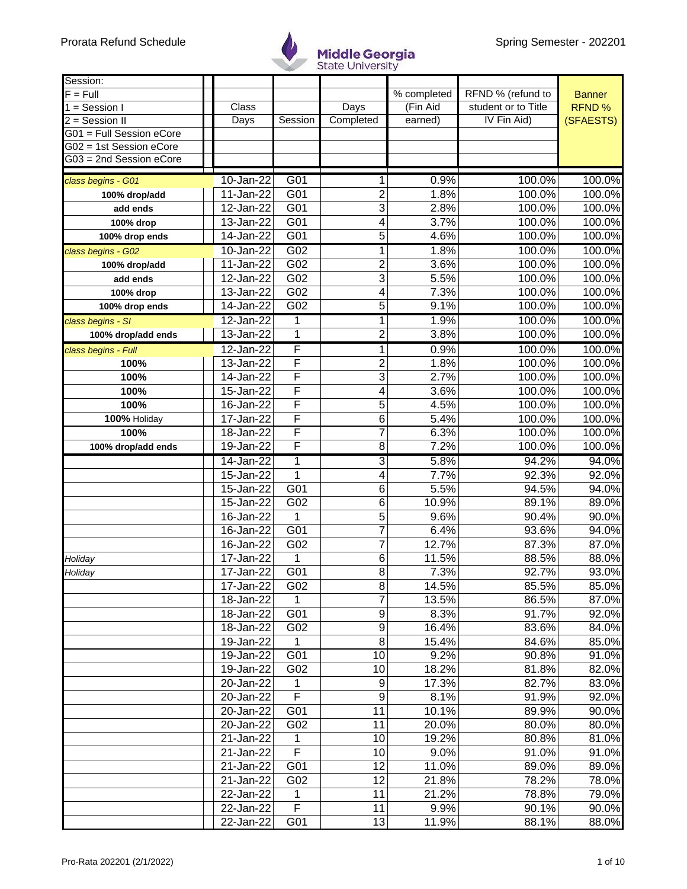

| Session:                   |                         |                         |                         |             |                     |               |
|----------------------------|-------------------------|-------------------------|-------------------------|-------------|---------------------|---------------|
| $\overline{F}$ = Full      |                         |                         |                         | % completed | RFND % (refund to   | <b>Banner</b> |
| $\overline{1}$ = Session I | Class                   |                         | Days                    | (Fin Aid    | student or to Title | RFND %        |
| $2 =$ Session II           | <b>Days</b>             | Session                 | Completed               | earned)     | IV Fin Aid)         | (SFAESTS)     |
| G01 = Full Session eCore   |                         |                         |                         |             |                     |               |
| G02 = 1st Session eCore    |                         |                         |                         |             |                     |               |
| G03 = 2nd Session eCore    |                         |                         |                         |             |                     |               |
| class begins - G01         | $10 - Jan-22$           | G <sub>01</sub>         | 1                       | 0.9%        | 100.0%              | 100.0%        |
| 100% drop/add              | 11-Jan-22               | G01                     | 2                       | 1.8%        | 100.0%              | 100.0%        |
| add ends                   | 12-Jan-22               | G01                     | $\overline{3}$          | 2.8%        | 100.0%              | 100.0%        |
| 100% drop                  | 13-Jan-22               | G01                     | 4                       | 3.7%        | 100.0%              | 100.0%        |
| 100% drop ends             | 14-Jan-22               | G01                     | 5                       | 4.6%        | 100.0%              | 100.0%        |
| class begins - G02         | 10-Jan-22               | G02                     | 1                       | 1.8%        | 100.0%              | 100.0%        |
| 100% drop/add              | 11-Jan-22               | G02                     | $\overline{\mathbf{c}}$ | 3.6%        | 100.0%              | 100.0%        |
| add ends                   | 12-Jan-22               | G02                     | $\overline{3}$          | 5.5%        | 100.0%              | 100.0%        |
| 100% drop                  | 13-Jan-22               | G02                     | 4                       | 7.3%        | 100.0%              | 100.0%        |
| 100% drop ends             | 14-Jan-22               | G02                     | 5                       | 9.1%        | 100.0%              | 100.0%        |
| class begins - SI          | $12$ -Jan-22            | 1                       | $\overline{1}$          | 1.9%        | 100.0%              | 100.0%        |
| 100% drop/add ends         | 13-Jan-22               | $\mathbf 1$             | $\overline{2}$          | 3.8%        | 100.0%              | 100.0%        |
| class begins - Full        | 12-Jan-22               | F                       | 1                       | 0.9%        | 100.0%              | 100.0%        |
| 100%                       | 13-Jan-22               | F                       | $\overline{\mathbf{c}}$ | 1.8%        | 100.0%              | 100.0%        |
| 100%                       | 14-Jan-22               | F                       | $\overline{3}$          | 2.7%        | 100.0%              | 100.0%        |
| 100%                       | 15-Jan-22               | F                       | 4                       | 3.6%        | 100.0%              | 100.0%        |
| 100%                       | 16-Jan-22               | F                       | 5                       | 4.5%        | 100.0%              | 100.0%        |
| 100% Holiday               | 17-Jan-22               | F                       | 6                       | 5.4%        | 100.0%              | 100.0%        |
| 100%                       | 18-Jan-22               | F                       | 7                       | 6.3%        | 100.0%              | 100.0%        |
| 100% drop/add ends         | 19-Jan-22               | F                       | $\overline{8}$          | 7.2%        | 100.0%              | 100.0%        |
|                            | 14-Jan-22               | 1                       | 3                       | 5.8%        | 94.2%               | 94.0%         |
|                            | 15-Jan-22               | $\mathbf{1}$            | 4                       | 7.7%        | 92.3%               | 92.0%         |
|                            | 15-Jan-22               | G01                     | 6                       | 5.5%        | 94.5%               | 94.0%         |
|                            | 15-Jan-22               | G02                     | 6                       | 10.9%       | 89.1%               | 89.0%         |
|                            | 16-Jan-22               | 1                       | 5                       | 9.6%        | 90.4%               | 90.0%         |
|                            | 16-Jan-22               | G01                     | $\overline{7}$          | 6.4%        | 93.6%               | 94.0%         |
|                            | 16-Jan-22               | G02                     | 7                       | 12.7%       | 87.3%               | 87.0%         |
| Holiday                    | 17-Jan-22               | 1                       | 6                       | 11.5%       | 88.5%               | 88.0%         |
| Holiday                    | 17-Jan-22               | G01                     | 8                       | 7.3%        | 92.7%               | 93.0%         |
|                            | 17-Jan-22               | G02                     | 8                       | 14.5%       | 85.5%               | 85.0%         |
|                            | 18-Jan-22               | 1                       | $\overline{7}$          | 13.5%       | 86.5%               | 87.0%         |
|                            | 18-Jan-22               | G01                     | 9                       | 8.3%        | 91.7%               | 92.0%         |
|                            | 18-Jan-22               | G02                     | $\overline{9}$          | 16.4%       | 83.6%               | 84.0%         |
|                            | 19-Jan-22               | 1                       | 8                       | 15.4%       | 84.6%               | 85.0%         |
|                            | 19-Jan-22               | G01                     | 10                      | 9.2%        | 90.8%               | 91.0%         |
|                            | $\overline{19}$ -Jan-22 | G02                     | 10                      | 18.2%       | 81.8%               | 82.0%         |
|                            | 20-Jan-22               | 1                       | 9                       | 17.3%       | 82.7%               | 83.0%         |
|                            | 20-Jan-22               | F                       | 9                       | 8.1%        | 91.9%               | 92.0%         |
|                            | 20-Jan-22               | G01                     | 11                      | 10.1%       | 89.9%               | 90.0%         |
|                            | 20-Jan-22               | G02                     | 11                      | 20.0%       | 80.0%               | 80.0%         |
|                            | 21-Jan-22               | 1                       | 10                      | 19.2%       | 80.8%               | 81.0%         |
|                            | 21-Jan-22               | $\overline{\mathsf{F}}$ | 10                      | 9.0%        | 91.0%               | 91.0%         |
|                            | 21-Jan-22               | G01                     | 12                      | 11.0%       | 89.0%               | 89.0%         |
|                            | 21-Jan-22               | G02                     | 12                      | 21.8%       | 78.2%               | 78.0%         |
|                            | 22-Jan-22               | 1                       | 11                      | 21.2%       | 78.8%               | 79.0%         |
|                            | 22-Jan-22               | $\overline{\mathsf{F}}$ | 11                      | 9.9%        | 90.1%               | 90.0%         |
|                            | 22-Jan-22               | G01                     | 13                      | 11.9%       | 88.1%               | 88.0%         |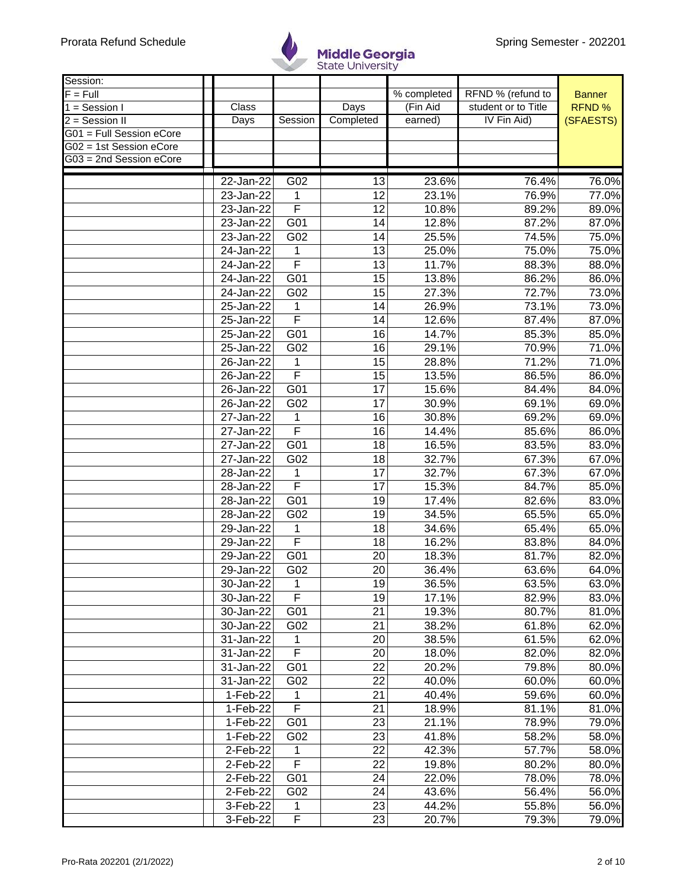

| Session:                   |               |                         |                       |             |                     |               |
|----------------------------|---------------|-------------------------|-----------------------|-------------|---------------------|---------------|
| $F = Full$                 |               |                         |                       | % completed | RFND % (refund to   | <b>Banner</b> |
| $\overline{1}$ = Session I | Class         |                         | Days                  | (Fin Aid    | student or to Title | <b>RFND%</b>  |
| $2 =$ Session II           | Days          | Session                 | Completed             | earned)     | IV Fin Aid)         | (SFAESTS)     |
| G01 = Full Session eCore   |               |                         |                       |             |                     |               |
| G02 = 1st Session eCore    |               |                         |                       |             |                     |               |
| G03 = 2nd Session eCore    |               |                         |                       |             |                     |               |
|                            | $22$ -Jan-22  |                         |                       | 23.6%       |                     | 76.0%         |
|                            |               | G02                     | 13<br>$\overline{12}$ |             | 76.4%               |               |
|                            | 23-Jan-22     | 1<br>F                  |                       | 23.1%       | 76.9%               | 77.0%         |
|                            | 23-Jan-22     |                         | $\overline{12}$       | 10.8%       | 89.2%               | 89.0%         |
|                            | 23-Jan-22     | G01                     | 14                    | 12.8%       | 87.2%               | 87.0%         |
|                            | 23-Jan-22     | G02                     | 14                    | 25.5%       | 74.5%               | 75.0%         |
|                            | 24-Jan-22     | 1                       | 13                    | 25.0%       | 75.0%               | 75.0%         |
|                            | $24$ -Jan-22  | F                       | 13                    | 11.7%       | 88.3%               | 88.0%         |
|                            | 24-Jan-22     | G01                     | 15                    | 13.8%       | 86.2%               | 86.0%         |
|                            | 24-Jan-22     | G02                     | 15                    | 27.3%       | 72.7%               | 73.0%         |
|                            | 25-Jan-22     | 1                       | 14                    | 26.9%       | 73.1%               | 73.0%         |
|                            | 25-Jan-22     | $\overline{\mathsf{F}}$ | 14                    | 12.6%       | 87.4%               | 87.0%         |
|                            | 25-Jan-22     | $\overline{G01}$        | 16                    | 14.7%       | 85.3%               | 85.0%         |
|                            | 25-Jan-22     | G02                     | 16                    | 29.1%       | 70.9%               | 71.0%         |
|                            | 26-Jan-22     | 1                       | 15                    | 28.8%       | 71.2%               | 71.0%         |
|                            | $26 - Jan-22$ | $\overline{\mathsf{F}}$ | 15                    | 13.5%       | 86.5%               | 86.0%         |
|                            | 26-Jan-22     | G <sub>01</sub>         | 17                    | 15.6%       | 84.4%               | 84.0%         |
|                            | 26-Jan-22     | G02                     | 17                    | 30.9%       | 69.1%               | 69.0%         |
|                            | $27 - Jan-22$ | 1                       | 16                    | 30.8%       | 69.2%               | 69.0%         |
|                            | 27-Jan-22     | $\overline{\mathsf{F}}$ | 16                    | 14.4%       | 85.6%               | 86.0%         |
|                            | 27-Jan-22     | G01                     | 18                    | 16.5%       | 83.5%               | 83.0%         |
|                            | 27-Jan-22     | G02                     | 18                    | 32.7%       | 67.3%               | 67.0%         |
|                            | 28-Jan-22     | 1                       | 17                    | 32.7%       | 67.3%               | 67.0%         |
|                            | 28-Jan-22     | F                       | 17                    | 15.3%       | 84.7%               | 85.0%         |
|                            | 28-Jan-22     | G01                     | 19                    | 17.4%       | 82.6%               | 83.0%         |
|                            | 28-Jan-22     | G02                     | 19                    | 34.5%       | 65.5%               | 65.0%         |
|                            | 29-Jan-22     | 1                       | 18                    | 34.6%       | 65.4%               | 65.0%         |
|                            | 29-Jan-22     | F                       | 18                    | 16.2%       | 83.8%               | 84.0%         |
|                            | 29-Jan-22     | G01                     | 20                    | 18.3%       | 81.7%               | 82.0%         |
|                            | 29-Jan-22     | G02                     | 20                    | 36.4%       | 63.6%               | 64.0%         |
|                            | 30-Jan-22     | 1                       | 19                    | 36.5%       | 63.5%               | 63.0%         |
|                            | 30-Jan-22     | $\overline{\mathsf{F}}$ | 19                    | 17.1%       | 82.9%               | 83.0%         |
|                            | 30-Jan-22     | G01                     | 21                    | 19.3%       | 80.7%               | 81.0%         |
|                            | 30-Jan-22     | G02                     | 21                    | 38.2%       | 61.8%               | 62.0%         |
|                            |               |                         |                       |             |                     |               |
|                            | 31-Jan-22     | 1<br>F                  | 20                    | 38.5%       | 61.5%               | 62.0%         |
|                            | 31-Jan-22     |                         | 20                    | 18.0%       | 82.0%               | 82.0%         |
|                            | 31-Jan-22     | G01                     | 22                    | 20.2%       | 79.8%               | 80.0%         |
|                            | 31-Jan-22     | G02                     | 22                    | 40.0%       | 60.0%               | 60.0%         |
|                            | 1-Feb-22      | 1                       | 21                    | 40.4%       | 59.6%               | 60.0%         |
|                            | 1-Feb-22      | F                       | 21                    | 18.9%       | 81.1%               | 81.0%         |
|                            | 1-Feb-22      | G01                     | 23                    | 21.1%       | 78.9%               | 79.0%         |
|                            | 1-Feb-22      | G02                     | 23                    | 41.8%       | 58.2%               | 58.0%         |
|                            | 2-Feb-22      | 1                       | 22                    | 42.3%       | 57.7%               | 58.0%         |
|                            | 2-Feb-22      | F                       | 22                    | 19.8%       | 80.2%               | 80.0%         |
|                            | 2-Feb-22      | G01                     | 24                    | 22.0%       | 78.0%               | 78.0%         |
|                            | 2-Feb-22      | G02                     | 24                    | 43.6%       | 56.4%               | 56.0%         |
|                            | 3-Feb-22      | 1                       | 23                    | 44.2%       | 55.8%               | 56.0%         |
|                            | 3-Feb-22      | F                       | 23                    | 20.7%       | 79.3%               | 79.0%         |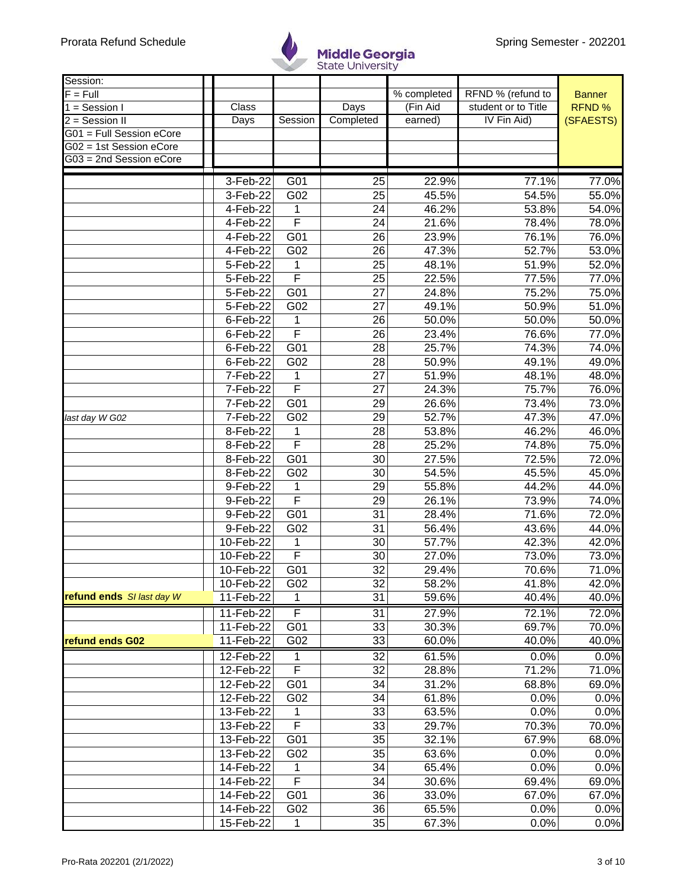

| Session:                  |                |                              |                 |             |                     |               |
|---------------------------|----------------|------------------------------|-----------------|-------------|---------------------|---------------|
| $F = Full$                |                |                              |                 | % completed | RFND % (refund to   | <b>Banner</b> |
| $1 =$ Session I           | Class          |                              | Days            | (Fin Aid    | student or to Title | RFND %        |
| 2 = Session II            | Days           | Session                      | Completed       | earned)     | IV Fin Aid)         | (SFAESTS)     |
| G01 = Full Session eCore  |                |                              |                 |             |                     |               |
| G02 = 1st Session eCore   |                |                              |                 |             |                     |               |
| G03 = 2nd Session eCore   |                |                              |                 |             |                     |               |
|                           | $3-Feb-22$     | G01                          | 25              | 22.9%       | 77.1%               | 77.0%         |
|                           | 3-Feb-22       | G02                          | 25              | 45.5%       | 54.5%               | 55.0%         |
|                           | 4-Feb-22       |                              | 24              |             |                     | 54.0%         |
|                           |                | 1<br>$\overline{\mathsf{F}}$ |                 | 46.2%       | 53.8%               |               |
|                           | 4-Feb-22       |                              | 24              | 21.6%       | 78.4%               | 78.0%         |
|                           | 4-Feb-22       | $\overline{G01}$             | 26              | 23.9%       | 76.1%               | 76.0%         |
|                           | 4-Feb-22       | G02                          | 26              | 47.3%       | 52.7%               | 53.0%         |
|                           | $5 - Feb - 22$ | 1                            | 25              | 48.1%       | 51.9%               | 52.0%         |
|                           | 5-Feb-22       | F                            | 25              | 22.5%       | 77.5%               | 77.0%         |
|                           | 5-Feb-22       | $\overline{G01}$             | 27              | 24.8%       | 75.2%               | 75.0%         |
|                           | 5-Feb-22       | G02                          | 27              | 49.1%       | 50.9%               | 51.0%         |
|                           | 6-Feb-22       | 1                            | 26              | 50.0%       | 50.0%               | 50.0%         |
|                           | 6-Feb-22       | $\overline{\mathsf{F}}$      | 26              | 23.4%       | 76.6%               | 77.0%         |
|                           | 6-Feb-22       | G <sub>01</sub>              | 28              | 25.7%       | 74.3%               | 74.0%         |
|                           | 6-Feb-22       | G02                          | 28              | 50.9%       | 49.1%               | 49.0%         |
|                           | 7-Feb-22       | 1                            | 27              | 51.9%       | 48.1%               | 48.0%         |
|                           | 7-Feb-22       | F                            | 27              | 24.3%       | 75.7%               | 76.0%         |
|                           | 7-Feb-22       | G <sub>01</sub>              | 29              | 26.6%       | 73.4%               | 73.0%         |
| last day W G02            | 7-Feb-22       | G02                          | 29              | 52.7%       | 47.3%               | 47.0%         |
|                           | 8-Feb-22       | 1                            | 28              | 53.8%       | 46.2%               | 46.0%         |
|                           | 8-Feb-22       | F                            | 28              | 25.2%       | 74.8%               | 75.0%         |
|                           | 8-Feb-22       | G01                          | 30              | 27.5%       | 72.5%               | 72.0%         |
|                           | 8-Feb-22       | G02                          | 30              | 54.5%       | 45.5%               | 45.0%         |
|                           | 9-Feb-22       | 1                            | 29              | 55.8%       | 44.2%               | 44.0%         |
|                           | 9-Feb-22       | F                            | 29              | 26.1%       | 73.9%               | 74.0%         |
|                           | 9-Feb-22       | G01                          | 31              | 28.4%       | 71.6%               | 72.0%         |
|                           | 9-Feb-22       | G02                          | 31              | 56.4%       | 43.6%               | 44.0%         |
|                           | 10-Feb-22      | 1                            | 30              | 57.7%       | 42.3%               | 42.0%         |
|                           | 10-Feb-22      | F                            | 30              | 27.0%       | 73.0%               | 73.0%         |
|                           | 10-Feb-22      | $\overline{G01}$             | $\overline{32}$ | 29.4%       | 70.6%               | 71.0%         |
|                           | 10-Feb-22      | G02                          | 32              | 58.2%       | 41.8%               | 42.0%         |
| refund ends SI last day W | 11-Feb-22      | 1                            | 31              | 59.6%       | 40.4%               | 40.0%         |
|                           |                |                              |                 |             |                     |               |
|                           | 11-Feb-22      | F                            | $\overline{31}$ | 27.9%       | 72.1%               | 72.0%         |
|                           | 11-Feb-22      | G01                          | 33              | 30.3%       | 69.7%               | 70.0%         |
| refund ends G02           | 11-Feb-22      | G02                          | 33              | 60.0%       | 40.0%               | 40.0%         |
|                           | 12-Feb-22      | 1                            | $\overline{32}$ | 61.5%       | 0.0%                | 0.0%          |
|                           | 12-Feb-22      | $\overline{F}$               | 32              | 28.8%       | 71.2%               | 71.0%         |
|                           | 12-Feb-22      | G01                          | 34              | 31.2%       | 68.8%               | 69.0%         |
|                           | 12-Feb-22      | G02                          | 34              | 61.8%       | 0.0%                | 0.0%          |
|                           | 13-Feb-22      | 1                            | 33              | 63.5%       | 0.0%                | 0.0%          |
|                           | 13-Feb-22      | $\overline{F}$               | 33              | 29.7%       | 70.3%               | 70.0%         |
|                           | 13-Feb-22      | G01                          | 35              | 32.1%       | 67.9%               | 68.0%         |
|                           | 13-Feb-22      | G02                          | 35              | 63.6%       | 0.0%                | 0.0%          |
|                           | 14-Feb-22      | 1                            | 34              | 65.4%       | 0.0%                | 0.0%          |
|                           | 14-Feb-22      | F                            | 34              | 30.6%       | 69.4%               | 69.0%         |
|                           | 14-Feb-22      | G01                          | 36              | 33.0%       | 67.0%               | 67.0%         |
|                           | 14-Feb-22      | G02                          | 36              | 65.5%       | 0.0%                | 0.0%          |
|                           | 15-Feb-22      | 1                            | 35              | 67.3%       | 0.0%                | 0.0%          |
|                           |                |                              |                 |             |                     |               |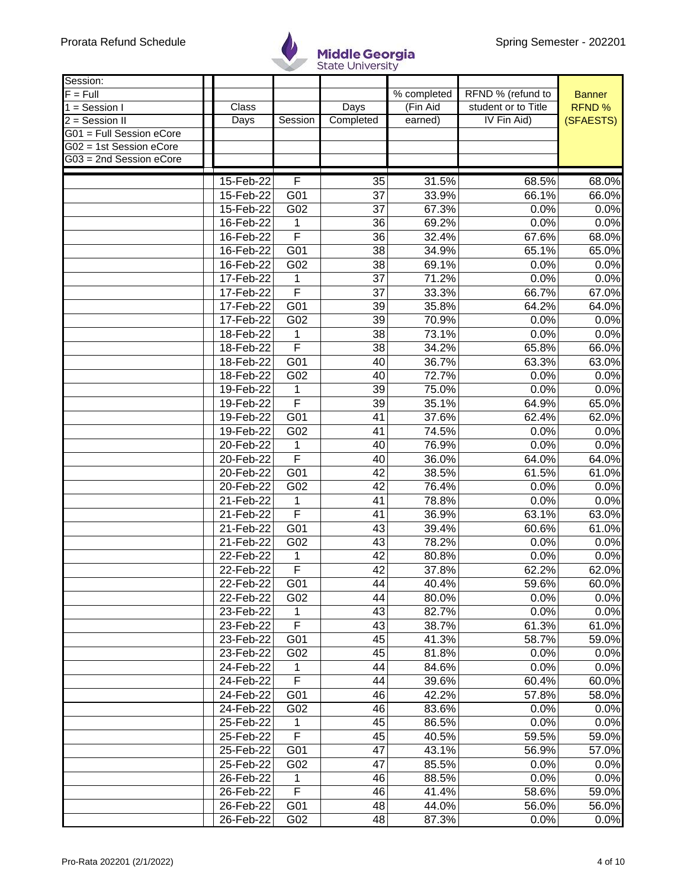

| Session:                   |           |                         |                       |             |                     |                |
|----------------------------|-----------|-------------------------|-----------------------|-------------|---------------------|----------------|
| $F = Full$                 |           |                         |                       | % completed | RFND % (refund to   | <b>Banner</b>  |
| $\overline{1}$ = Session I | Class     |                         | Days                  | (Fin Aid    | student or to Title | <b>RFND%</b>   |
| 2 = Session II             | Days      | Session                 | Completed             | earned)     | IV Fin Aid)         | (SFAESTS)      |
| G01 = Full Session eCore   |           |                         |                       |             |                     |                |
| G02 = 1st Session eCore    |           |                         |                       |             |                     |                |
| G03 = 2nd Session eCore    |           |                         |                       |             |                     |                |
|                            |           |                         |                       |             |                     |                |
|                            | 15-Feb-22 | F                       | 35<br>$\overline{37}$ | 31.5%       | 68.5%               | 68.0%<br>66.0% |
|                            | 15-Feb-22 | G01                     |                       | 33.9%       | 66.1%               |                |
|                            | 15-Feb-22 | G02                     | 37                    | 67.3%       | 0.0%                | 0.0%           |
|                            | 16-Feb-22 | 1                       | 36                    | 69.2%       | 0.0%                | 0.0%           |
|                            | 16-Feb-22 | F                       | 36                    | 32.4%       | 67.6%               | 68.0%          |
|                            | 16-Feb-22 | G01                     | 38                    | 34.9%       | 65.1%               | 65.0%          |
|                            | 16-Feb-22 | G02                     | 38                    | 69.1%       | 0.0%                | 0.0%           |
|                            | 17-Feb-22 | 1                       | 37                    | 71.2%       | 0.0%                | 0.0%           |
|                            | 17-Feb-22 | $\overline{\mathsf{F}}$ | 37                    | 33.3%       | 66.7%               | 67.0%          |
|                            | 17-Feb-22 | G01                     | 39                    | 35.8%       | 64.2%               | 64.0%          |
|                            | 17-Feb-22 | G02                     | 39                    | 70.9%       | 0.0%                | 0.0%           |
|                            | 18-Feb-22 | 1                       | 38                    | 73.1%       | 0.0%                | 0.0%           |
|                            | 18-Feb-22 | $\overline{\mathsf{F}}$ | 38                    | 34.2%       | 65.8%               | 66.0%          |
|                            | 18-Feb-22 | G01                     | 40                    | 36.7%       | 63.3%               | 63.0%          |
|                            | 18-Feb-22 | G02                     | 40                    | 72.7%       | 0.0%                | 0.0%           |
|                            | 19-Feb-22 | 1                       | 39                    | 75.0%       | 0.0%                | 0.0%           |
|                            | 19-Feb-22 | F                       | 39                    | 35.1%       | 64.9%               | 65.0%          |
|                            | 19-Feb-22 | G01                     | 41                    | 37.6%       | 62.4%               | 62.0%          |
|                            | 19-Feb-22 | G02                     | 41                    | 74.5%       | 0.0%                | 0.0%           |
|                            | 20-Feb-22 | 1                       | 40                    | 76.9%       | 0.0%                | 0.0%           |
|                            | 20-Feb-22 | F                       | 40                    | 36.0%       | 64.0%               | 64.0%          |
|                            | 20-Feb-22 | G01                     | 42                    | 38.5%       | 61.5%               | 61.0%          |
|                            | 20-Feb-22 | G02                     | 42                    | 76.4%       | 0.0%                | 0.0%           |
|                            | 21-Feb-22 |                         | 41                    | 78.8%       | 0.0%                |                |
|                            |           | 1<br>F                  |                       |             |                     | 0.0%           |
|                            | 21-Feb-22 |                         | 41                    | 36.9%       | 63.1%               | 63.0%          |
|                            | 21-Feb-22 | G01                     | 43                    | 39.4%       | 60.6%               | 61.0%          |
|                            | 21-Feb-22 | G02                     | 43                    | 78.2%       | 0.0%                | 0.0%           |
|                            | 22-Feb-22 | 1                       | 42                    | 80.8%       | 0.0%                | 0.0%           |
|                            | 22-Feb-22 | F                       | $\overline{42}$       | 37.8%       | 62.2%               | 62.0%          |
|                            | 22-Feb-22 | G01                     | 44                    | 40.4%       | 59.6%               | 60.0%          |
|                            | 22-Feb-22 | G02                     | 44                    | 80.0%       | 0.0%                | 0.0%           |
|                            | 23-Feb-22 | 1                       | 43                    | 82.7%       | 0.0%                | 0.0%           |
|                            | 23-Feb-22 | $\overline{\mathsf{F}}$ | 43                    | 38.7%       | 61.3%               | 61.0%          |
|                            | 23-Feb-22 | G01                     | 45                    | 41.3%       | 58.7%               | 59.0%          |
|                            | 23-Feb-22 | G02                     | 45                    | 81.8%       | 0.0%                | 0.0%           |
|                            | 24-Feb-22 | 1                       | 44                    | 84.6%       | 0.0%                | 0.0%           |
|                            | 24-Feb-22 | $\overline{\mathsf{F}}$ | 44                    | 39.6%       | 60.4%               | 60.0%          |
|                            | 24-Feb-22 | G01                     | 46                    | 42.2%       | 57.8%               | 58.0%          |
|                            | 24-Feb-22 | G02                     | 46                    | 83.6%       | 0.0%                | 0.0%           |
|                            | 25-Feb-22 | 1                       | 45                    | 86.5%       | 0.0%                | 0.0%           |
|                            | 25-Feb-22 | F                       | 45                    | 40.5%       | 59.5%               | 59.0%          |
|                            | 25-Feb-22 | G01                     | 47                    | 43.1%       | 56.9%               | 57.0%          |
|                            | 25-Feb-22 | G02                     | 47                    | 85.5%       | 0.0%                | 0.0%           |
|                            | 26-Feb-22 | 1                       | 46                    | 88.5%       | 0.0%                | 0.0%           |
|                            | 26-Feb-22 | F                       | 46                    | 41.4%       | 58.6%               | 59.0%          |
|                            |           | G01                     |                       |             |                     |                |
|                            | 26-Feb-22 |                         | 48                    | 44.0%       | 56.0%               | 56.0%          |
|                            | 26-Feb-22 | G02                     | 48                    | 87.3%       | 0.0%                | 0.0%           |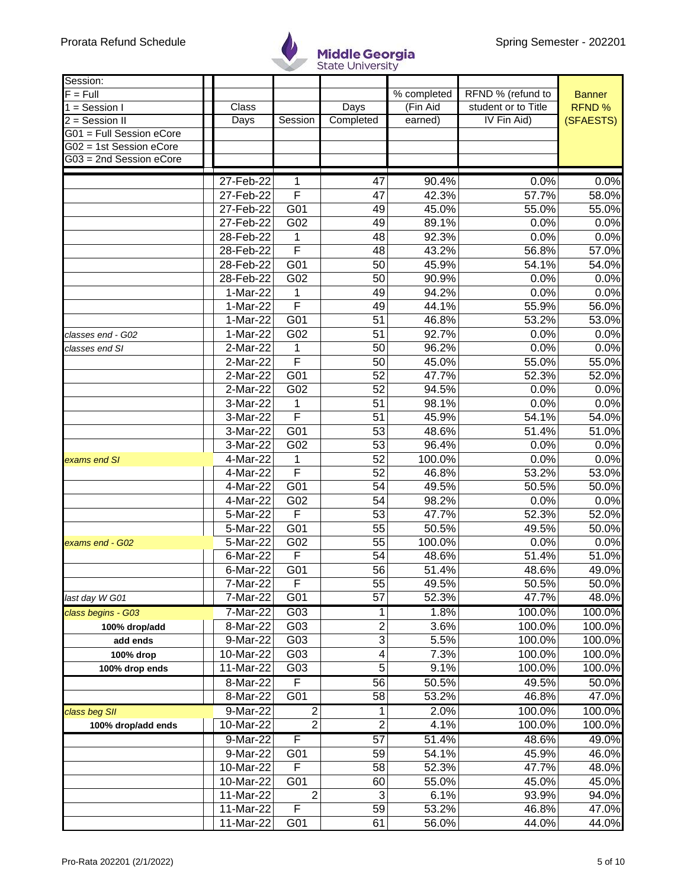

| Session:                 |             |                         |                         |             |                     |               |
|--------------------------|-------------|-------------------------|-------------------------|-------------|---------------------|---------------|
| $F = Full$               |             |                         |                         | % completed | RFND % (refund to   | <b>Banner</b> |
| $1 =$ Session I          | Class       |                         | Days                    | (Fin Aid    | student or to Title | RFND %        |
| $2 =$ Session II         | Days        | Session                 | Completed               | earned)     | IV Fin Aid)         | (SFAESTS)     |
| G01 = Full Session eCore |             |                         |                         |             |                     |               |
| G02 = 1st Session eCore  |             |                         |                         |             |                     |               |
| G03 = 2nd Session eCore  |             |                         |                         |             |                     |               |
|                          | 27-Feb-22   |                         | 47                      | 90.4%       | 0.0%                | 0.0%          |
|                          | 27-Feb-22   | 1<br>F                  | 47                      | 42.3%       | 57.7%               | 58.0%         |
|                          |             |                         |                         |             |                     | 55.0%         |
|                          | 27-Feb-22   | G01                     | 49                      | 45.0%       | 55.0%               |               |
|                          | 27-Feb-22   | G02                     | 49                      | 89.1%       | 0.0%                | 0.0%          |
|                          | 28-Feb-22   | 1                       | 48                      | 92.3%       | 0.0%                | 0.0%          |
|                          | 28-Feb-22   | F                       | 48                      | 43.2%       | 56.8%               | 57.0%         |
|                          | 28-Feb-22   | G01                     | 50                      | 45.9%       | 54.1%               | 54.0%         |
|                          | 28-Feb-22   | G02                     | 50                      | 90.9%       | 0.0%                | 0.0%          |
|                          | 1-Mar-22    | 1                       | 49                      | 94.2%       | 0.0%                | 0.0%          |
|                          | 1-Mar-22    | $\overline{\mathsf{F}}$ | 49                      | 44.1%       | 55.9%               | 56.0%         |
|                          | 1-Mar-22    | G <sub>01</sub>         | 51                      | 46.8%       | 53.2%               | 53.0%         |
| classes end - G02        | 1-Mar-22    | G02                     | 51                      | 92.7%       | 0.0%                | 0.0%          |
| classes end SI           | 2-Mar-22    | 1                       | 50                      | 96.2%       | 0.0%                | 0.0%          |
|                          | 2-Mar-22    | F                       | 50                      | 45.0%       | 55.0%               | 55.0%         |
|                          | 2-Mar-22    | G01                     | 52                      | 47.7%       | 52.3%               | 52.0%         |
|                          | 2-Mar-22    | G02                     | 52                      | 94.5%       | 0.0%                | 0.0%          |
|                          | 3-Mar-22    | 1                       | 51                      | 98.1%       | 0.0%                | 0.0%          |
|                          | 3-Mar-22    | $\overline{\mathsf{F}}$ | 51                      | 45.9%       | 54.1%               | 54.0%         |
|                          | 3-Mar-22    | G01                     | 53                      | 48.6%       | 51.4%               | 51.0%         |
|                          | 3-Mar-22    | G02                     | 53                      | 96.4%       | 0.0%                | 0.0%          |
| exams end SI             | 4-Mar-22    | 1                       | 52                      | 100.0%      | 0.0%                | 0.0%          |
|                          | 4-Mar-22    | F                       | 52                      | 46.8%       | 53.2%               | 53.0%         |
|                          | 4-Mar-22    | G01                     | 54                      | 49.5%       | 50.5%               | 50.0%         |
|                          | 4-Mar-22    | G02                     | 54                      | 98.2%       | 0.0%                | 0.0%          |
|                          | 5-Mar-22    | F                       | 53                      | 47.7%       | 52.3%               | 52.0%         |
|                          | 5-Mar-22    | G01                     | 55                      | 50.5%       | 49.5%               | 50.0%         |
| exams end - G02          | 5-Mar-22    | G02                     | 55                      | 100.0%      | 0.0%                | 0.0%          |
|                          | 6-Mar-22    | F                       | 54                      | 48.6%       | 51.4%               | 51.0%         |
|                          | $6$ -Mar-22 | G <sub>01</sub>         | $\overline{56}$         | 51.4%       | 48.6%               | 49.0%         |
|                          | 7-Mar-22    | F                       | 55                      | 49.5%       | 50.5%               | 50.0%         |
|                          |             | G01                     | 57                      |             |                     | 48.0%         |
| last day W G01           | 7-Mar-22    |                         |                         | 52.3%       | 47.7%               |               |
| class begins - G03       | 7-Mar-22    | G03                     | $\mathbf{1}$            | 1.8%        | 100.0%              | 100.0%        |
| 100% drop/add            | 8-Mar-22    | G03                     | $\overline{\mathbf{c}}$ | 3.6%        | 100.0%              | 100.0%        |
| add ends                 | 9-Mar-22    | G03                     | $\overline{3}$          | 5.5%        | 100.0%              | 100.0%        |
| 100% drop                | 10-Mar-22   | G03                     | 4                       | 7.3%        | 100.0%              | 100.0%        |
| 100% drop ends           | 11-Mar-22   | G03                     | 5                       | 9.1%        | 100.0%              | 100.0%        |
|                          | 8-Mar-22    | F                       | 56                      | 50.5%       | 49.5%               | 50.0%         |
|                          | 8-Mar-22    | G <sub>01</sub>         | 58                      | 53.2%       | 46.8%               | 47.0%         |
| class beg SII            | 9-Mar-22    | $\overline{2}$          | 1                       | 2.0%        | 100.0%              | 100.0%        |
| 100% drop/add ends       | 10-Mar-22   | $\overline{2}$          | $\overline{2}$          | 4.1%        | 100.0%              | 100.0%        |
|                          | 9-Mar-22    | F                       | 57                      | 51.4%       | 48.6%               | 49.0%         |
|                          | 9-Mar-22    | G01                     | 59                      | 54.1%       | 45.9%               | 46.0%         |
|                          | 10-Mar-22   | F                       | 58                      | 52.3%       | 47.7%               | 48.0%         |
|                          | 10-Mar-22   | G01                     | 60                      | 55.0%       | 45.0%               | 45.0%         |
|                          | 11-Mar-22   | $\overline{2}$          | 3                       | 6.1%        | 93.9%               | 94.0%         |
|                          | 11-Mar-22   | F                       | 59                      | 53.2%       | 46.8%               | 47.0%         |
|                          | 11-Mar-22   | G01                     | 61                      | 56.0%       | 44.0%               | 44.0%         |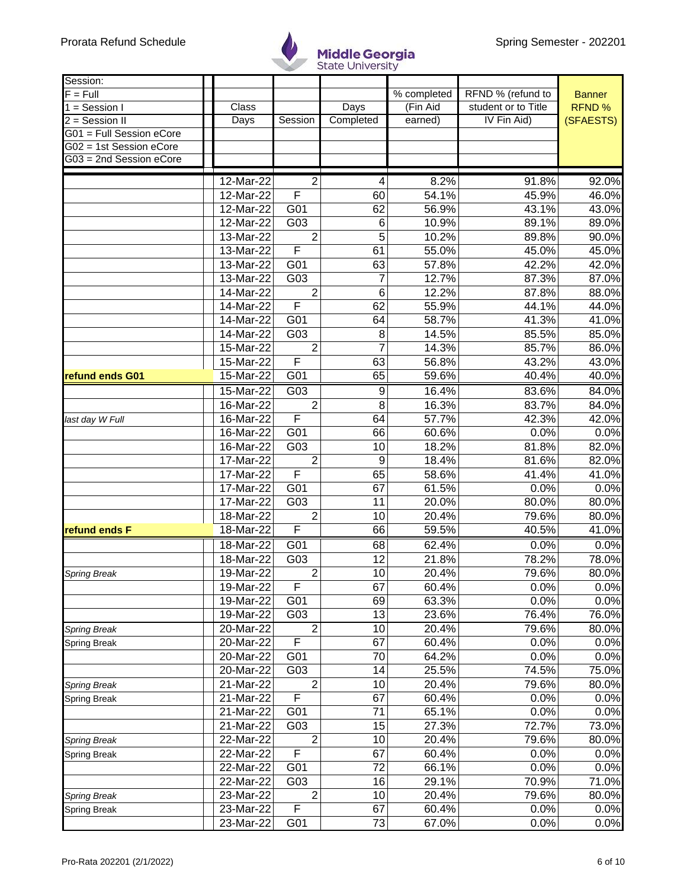

| Session:                 |                         |                  |           |             |                     |                |
|--------------------------|-------------------------|------------------|-----------|-------------|---------------------|----------------|
| $F = Full$               |                         |                  |           | % completed | RFND % (refund to   | <b>Banner</b>  |
| $1 =$ Session I          | Class                   |                  | Days      | (Fin Aid    | student or to Title | <b>RFND%</b>   |
| 2 = Session II           | Days                    | Session          | Completed | earned)     | IV Fin Aid)         | (SFAESTS)      |
| G01 = Full Session eCore |                         |                  |           |             |                     |                |
| G02 = 1st Session eCore  |                         |                  |           |             |                     |                |
| G03 = 2nd Session eCore  |                         |                  |           |             |                     |                |
|                          | 12-Mar-22               | 2                |           | 8.2%        | 91.8%               | 92.0%          |
|                          | 12-Mar-22               | F                | 4<br>60   | 54.1%       | 45.9%               | 46.0%          |
|                          | $\overline{1}$ 2-Mar-22 | G01              | 62        | 56.9%       | 43.1%               | 43.0%          |
|                          | 12-Mar-22               | G03              |           | 10.9%       | 89.1%               | 89.0%          |
|                          | 13-Mar-22               | $\overline{2}$   | 6<br>5    | 10.2%       |                     |                |
|                          |                         | F                | 61        | 55.0%       | 89.8%               | 90.0%<br>45.0% |
|                          | 13-Mar-22               |                  |           |             | 45.0%               |                |
|                          | 13-Mar-22               | G01              | 63        | 57.8%       | 42.2%               | 42.0%          |
|                          | 13-Mar-22               | G03              | 7         | 12.7%       | 87.3%               | 87.0%          |
|                          | 14-Mar-22               | $\overline{2}$   | 6         | 12.2%       | 87.8%               | 88.0%          |
|                          | 14-Mar-22               | F                | 62        | 55.9%       | 44.1%               | 44.0%          |
|                          | 14-Mar-22               | G01              | 64        | 58.7%       | 41.3%               | 41.0%          |
|                          | 14-Mar-22               | G03              | 8         | 14.5%       | 85.5%               | 85.0%          |
|                          | 15-Mar-22               | $\overline{2}$   | 7         | 14.3%       | 85.7%               | 86.0%          |
|                          | 15-Mar-22               | F                | 63        | 56.8%       | 43.2%               | 43.0%          |
| refund ends G01          | 15-Mar-22               | G <sub>01</sub>  | 65        | 59.6%       | 40.4%               | 40.0%          |
|                          | 15-Mar-22               | $\overline{G03}$ | 9         | 16.4%       | 83.6%               | 84.0%          |
|                          | 16-Mar-22               | $\overline{2}$   | 8         | 16.3%       | 83.7%               | 84.0%          |
| last day W Full          | 16-Mar-22               | F                | 64        | 57.7%       | 42.3%               | 42.0%          |
|                          | 16-Mar-22               | G01              | 66        | 60.6%       | 0.0%                | 0.0%           |
|                          | 16-Mar-22               | G03              | 10        | 18.2%       | 81.8%               | 82.0%          |
|                          | 17-Mar-22               | $\overline{2}$   | 9         | 18.4%       | 81.6%               | 82.0%          |
|                          | 17-Mar-22               | F                | 65        | 58.6%       | 41.4%               | 41.0%          |
|                          | 17-Mar-22               | G01              | 67        | 61.5%       | 0.0%                | 0.0%           |
|                          | 17-Mar-22               | $\overline{G03}$ | 11        | 20.0%       | 80.0%               | 80.0%          |
|                          | 18-Mar-22               | $\overline{2}$   | 10        | 20.4%       | 79.6%               | 80.0%          |
| refund ends F            | 18-Mar-22               | F                | 66        | 59.5%       | 40.5%               | 41.0%          |
|                          | 18-Mar-22               | G01              | 68        | 62.4%       | 0.0%                | 0.0%           |
|                          | 18-Mar-22               | G03              | 12        | 21.8%       | 78.2%               | 78.0%          |
| Spring Break             | 19-Mar-22               | $\overline{2}$   | 10        | 20.4%       | 79.6%               | 80.0%          |
|                          | 19-Mar-22               | F                | 67        | 60.4%       | 0.0%                | 0.0%           |
|                          | 19-Mar-22               | G01              | 69        | 63.3%       | 0.0%                | 0.0%           |
|                          | 19-Mar-22               | G03              | 13        | 23.6%       | 76.4%               | 76.0%          |
| <b>Spring Break</b>      | 20-Mar-22               | $\overline{2}$   | 10        | 20.4%       | 79.6%               | 80.0%          |
| <b>Spring Break</b>      | 20-Mar-22               | F                | 67        | 60.4%       | 0.0%                | 0.0%           |
|                          | 20-Mar-22               | G01              | 70        | 64.2%       | 0.0%                | 0.0%           |
|                          | 20-Mar-22               | G03              | 14        | 25.5%       | 74.5%               | 75.0%          |
| <b>Spring Break</b>      | 21-Mar-22               | $\overline{2}$   | 10        | 20.4%       | 79.6%               | 80.0%          |
| <b>Spring Break</b>      | 21-Mar-22               | F                | 67        | 60.4%       | 0.0%                | 0.0%           |
|                          | 21-Mar-22               | G01              | 71        | 65.1%       | 0.0%                | 0.0%           |
|                          | 21-Mar-22               | G03              | 15        | 27.3%       | 72.7%               | 73.0%          |
| Spring Break             | 22-Mar-22               | $\overline{c}$   | 10        | 20.4%       | 79.6%               | 80.0%          |
| Spring Break             | 22-Mar-22               | F                | 67        | 60.4%       | 0.0%                | 0.0%           |
|                          | 22-Mar-22               | G01              | 72        | 66.1%       | 0.0%                | 0.0%           |
|                          | 22-Mar-22               | G03              | 16        | 29.1%       | 70.9%               | 71.0%          |
| <b>Spring Break</b>      | 23-Mar-22               | $\overline{2}$   | 10        | 20.4%       | 79.6%               | 80.0%          |
| <b>Spring Break</b>      | 23-Mar-22               | F                | 67        | 60.4%       | 0.0%                | 0.0%           |
|                          | 23-Mar-22               | G01              | 73        | 67.0%       | 0.0%                | 0.0%           |
|                          |                         |                  |           |             |                     |                |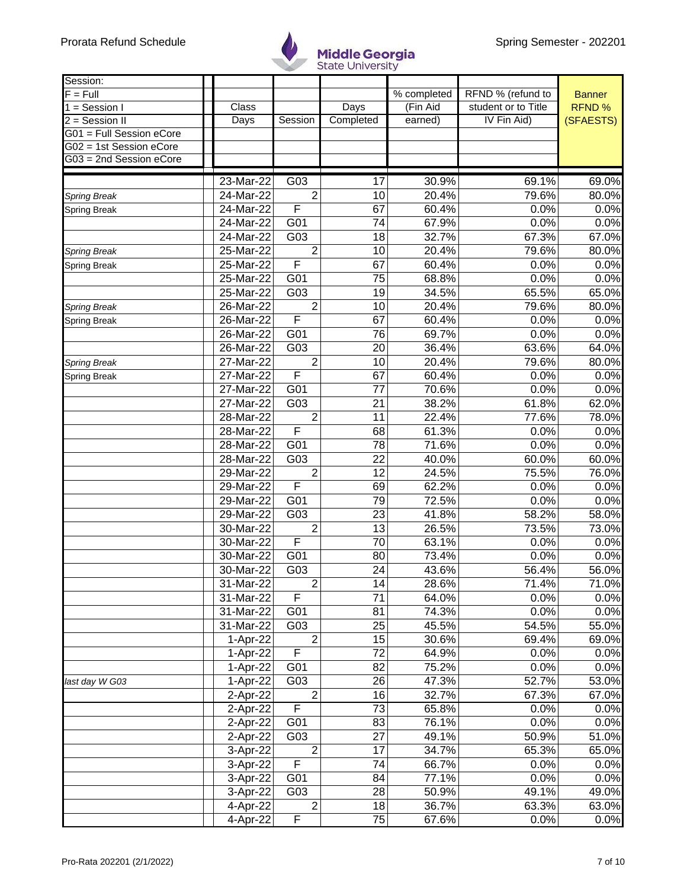

| Session:                    |           |                       |           |             |                     |               |
|-----------------------------|-----------|-----------------------|-----------|-------------|---------------------|---------------|
| $F = Full$                  |           |                       |           | % completed | RFND % (refund to   | <b>Banner</b> |
| $\overline{1}$ = Session I  | Class     |                       | Days      | (Fin Aid    | student or to Title | RFND %        |
| $\overline{2}$ = Session II | Days      | Session               | Completed | earned)     | IV Fin Aid)         | (SFAESTS)     |
| G01 = Full Session eCore    |           |                       |           |             |                     |               |
| G02 = 1st Session eCore     |           |                       |           |             |                     |               |
| G03 = 2nd Session eCore     |           |                       |           |             |                     |               |
|                             | 23-Mar-22 | G03                   | 17        | 30.9%       | 69.1%               | 69.0%         |
|                             | 24-Mar-22 | $\overline{2}$        | 10        | 20.4%       | 79.6%               | 80.0%         |
| <b>Spring Break</b>         | 24-Mar-22 | F                     | 67        | 60.4%       |                     |               |
| <b>Spring Break</b>         |           |                       |           |             | 0.0%                | 0.0%          |
|                             | 24-Mar-22 | G01                   | 74        | 67.9%       | 0.0%                | 0.0%          |
|                             | 24-Mar-22 | G03                   | 18        | 32.7%       | 67.3%               | 67.0%         |
| Spring Break                | 25-Mar-22 | $\overline{2}$        | 10        | 20.4%       | 79.6%               | 80.0%         |
| <b>Spring Break</b>         | 25-Mar-22 | F                     | 67        | 60.4%       | 0.0%                | 0.0%          |
|                             | 25-Mar-22 | G01                   | 75        | 68.8%       | 0.0%                | 0.0%          |
|                             | 25-Mar-22 | G03                   | 19        | 34.5%       | 65.5%               | 65.0%         |
| <b>Spring Break</b>         | 26-Mar-22 | $\overline{2}$        | 10        | 20.4%       | 79.6%               | 80.0%         |
| <b>Spring Break</b>         | 26-Mar-22 | F                     | 67        | 60.4%       | 0.0%                | 0.0%          |
|                             | 26-Mar-22 | G01                   | 76        | 69.7%       | 0.0%                | 0.0%          |
|                             | 26-Mar-22 | G03                   | 20        | 36.4%       | 63.6%               | 64.0%         |
| <b>Spring Break</b>         | 27-Mar-22 | $\overline{2}$        | 10        | 20.4%       | 79.6%               | 80.0%         |
| Spring Break                | 27-Mar-22 | F                     | 67        | 60.4%       | 0.0%                | 0.0%          |
|                             | 27-Mar-22 | G01                   | 77        | 70.6%       | 0.0%                | 0.0%          |
|                             | 27-Mar-22 | G03                   | 21        | 38.2%       | 61.8%               | 62.0%         |
|                             | 28-Mar-22 | $\overline{2}$        | 11        | 22.4%       | 77.6%               | 78.0%         |
|                             | 28-Mar-22 | F                     | 68        | 61.3%       | 0.0%                | 0.0%          |
|                             | 28-Mar-22 | G01                   | 78        | 71.6%       | 0.0%                | 0.0%          |
|                             | 28-Mar-22 | G03                   | 22        | 40.0%       | 60.0%               | 60.0%         |
|                             | 29-Mar-22 | $\overline{2}$        | 12        | 24.5%       | 75.5%               | 76.0%         |
|                             | 29-Mar-22 | F                     | 69        | 62.2%       | 0.0%                | 0.0%          |
|                             | 29-Mar-22 | G01                   | 79        | 72.5%       | 0.0%                | 0.0%          |
|                             | 29-Mar-22 | G03                   | 23        | 41.8%       | 58.2%               | 58.0%         |
|                             | 30-Mar-22 | $\overline{2}$        | 13        | 26.5%       | 73.5%               | 73.0%         |
|                             | 30-Mar-22 | F                     | 70        | 63.1%       | 0.0%                | 0.0%          |
|                             | 30-Mar-22 | G01                   | 80        | 73.4%       | 0.0%                | 0.0%          |
|                             | 30-Mar-22 | G03                   | 24        | 43.6%       | 56.4%               | 56.0%         |
|                             | 31-Mar-22 | $\overline{2}$        | 14        | 28.6%       | 71.4%               | 71.0%         |
|                             | 31-Mar-22 | F                     | 71        | 64.0%       | 0.0%                | 0.0%          |
|                             | 31-Mar-22 | G01                   | 81        | 74.3%       | 0.0%                | 0.0%          |
|                             |           |                       | 25        | 45.5%       | 54.5%               | 55.0%         |
|                             | 31-Mar-22 | G03<br>$\overline{2}$ |           |             |                     |               |
|                             | 1-Apr-22  |                       | 15        | 30.6%       | 69.4%               | 69.0%         |
|                             | 1-Apr-22  | F                     | 72        | 64.9%       | 0.0%                | 0.0%          |
|                             | 1-Apr-22  | G01                   | 82        | 75.2%       | 0.0%                | 0.0%          |
| last day W G03              | 1-Apr-22  | G03                   | 26        | 47.3%       | 52.7%               | 53.0%         |
|                             | 2-Apr-22  | $\overline{2}$        | 16        | 32.7%       | 67.3%               | 67.0%         |
|                             | 2-Apr-22  | F                     | 73        | 65.8%       | 0.0%                | 0.0%          |
|                             | 2-Apr-22  | G01                   | 83        | 76.1%       | 0.0%                | 0.0%          |
|                             | 2-Apr-22  | G03                   | 27        | 49.1%       | 50.9%               | 51.0%         |
|                             | 3-Apr-22  | $\overline{2}$        | 17        | 34.7%       | 65.3%               | 65.0%         |
|                             | 3-Apr-22  | F                     | 74        | 66.7%       | 0.0%                | 0.0%          |
|                             | 3-Apr-22  | G01                   | 84        | 77.1%       | 0.0%                | 0.0%          |
|                             | 3-Apr-22  | G03                   | 28        | 50.9%       | 49.1%               | 49.0%         |
|                             | 4-Apr-22  | $\overline{2}$        | 18        | 36.7%       | 63.3%               | 63.0%         |
|                             | 4-Apr-22  | $\mathsf F$           | 75        | 67.6%       | 0.0%                | 0.0%          |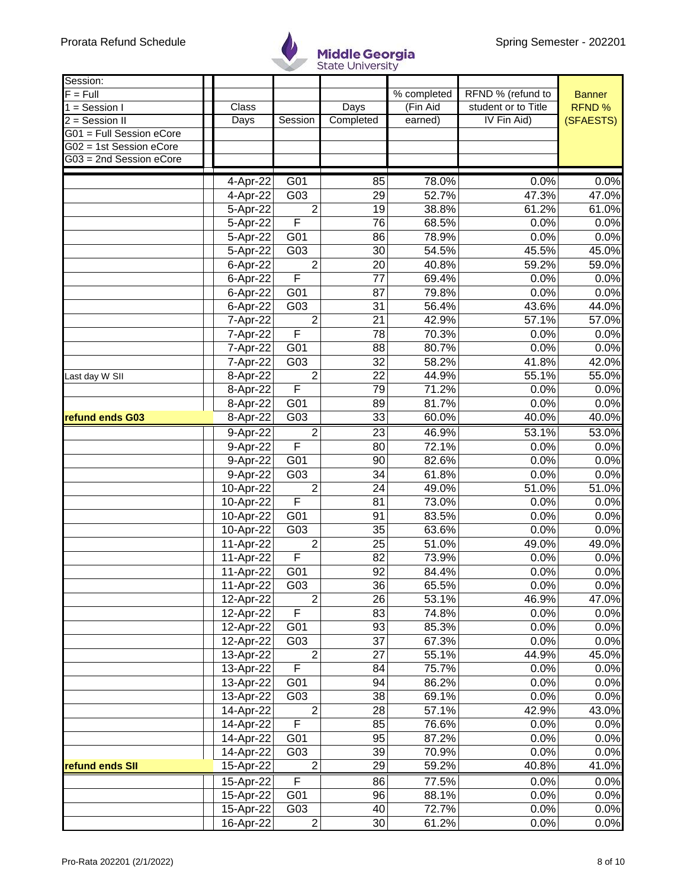

| Session:<br>$F = Full$   |                        |                         |                 | % completed | RFND % (refund to   | <b>Banner</b> |
|--------------------------|------------------------|-------------------------|-----------------|-------------|---------------------|---------------|
| $1 =$ Session I          | Class                  |                         | Days            | (Fin Aid    | student or to Title | RFND %        |
| 2 = Session II           | Days                   | Session                 | Completed       | earned)     | IV Fin Aid)         | (SFAESTS)     |
| G01 = Full Session eCore |                        |                         |                 |             |                     |               |
| G02 = 1st Session eCore  |                        |                         |                 |             |                     |               |
| G03 = 2nd Session eCore  |                        |                         |                 |             |                     |               |
|                          |                        |                         |                 |             |                     |               |
|                          | 4-Apr-22               | G01                     | 85              | 78.0%       | 0.0%                | 0.0%          |
|                          | $4-Apr-22$             | G03                     | 29              | 52.7%       | 47.3%               | 47.0%         |
|                          | 5-Apr-22               | $\overline{2}$          | 19              | 38.8%       | 61.2%               | 61.0%         |
|                          | 5-Apr-22               | F                       | 76              | 68.5%       | 0.0%                | 0.0%          |
|                          | 5-Apr-22               | G01                     | 86              | 78.9%       | 0.0%                | 0.0%          |
|                          | 5-Apr-22               | G03                     | 30              | 54.5%       | 45.5%               | 45.0%         |
|                          | 6-Apr-22               | $\overline{2}$          | 20              | 40.8%       | 59.2%               | 59.0%         |
|                          | 6-Apr-22               | $\overline{\mathsf{F}}$ | 77              | 69.4%       | 0.0%                | 0.0%          |
|                          | 6-Apr-22               | $\overline{G01}$        | 87              | 79.8%       | 0.0%                | 0.0%          |
|                          | 6-Apr-22               | $\overline{G03}$        | 31              | 56.4%       | 43.6%               | 44.0%         |
|                          | 7-Apr-22               | $\overline{2}$          | $\overline{21}$ | 42.9%       | 57.1%               | 57.0%         |
|                          | 7-Apr-22               | F                       | 78              | 70.3%       | 0.0%                | 0.0%          |
|                          | 7-Apr-22               | G01                     | 88              | 80.7%       | 0.0%                | 0.0%          |
|                          | 7-Apr-22               | G03                     | $\overline{32}$ | 58.2%       | 41.8%               | 42.0%         |
| Last day W SII           | 8-Apr-22               | $\overline{2}$          | 22              | 44.9%       | 55.1%               | 55.0%         |
|                          | 8-Apr-22               | F                       | 79              | 71.2%       | 0.0%                | 0.0%          |
|                          | 8-Apr-22               | G01                     | 89              | 81.7%       | 0.0%                | 0.0%          |
| refund ends G03          | 8-Apr-22               | G03                     | 33              | 60.0%       | 40.0%               | 40.0%         |
|                          | 9-Apr-22               | $\overline{c}$          | 23              | 46.9%       | 53.1%               | 53.0%         |
|                          | 9-Apr-22               | F                       | 80              | 72.1%       | 0.0%                | 0.0%          |
|                          | 9-Apr-22               | $\overline{G01}$        | 90              | 82.6%       | 0.0%                | 0.0%          |
|                          | 9-Apr-22               | G03                     | 34              | 61.8%       | 0.0%                | 0.0%          |
|                          | 10-Apr-22              | $\overline{2}$          | 24              | 49.0%       | 51.0%               | 51.0%         |
|                          | 10-Apr-22              | F                       | 81              | 73.0%       | 0.0%                | 0.0%          |
|                          | 10-Apr-22              | G01                     | 91              | 83.5%       | 0.0%                | 0.0%          |
|                          | 10-Apr-22              | G03                     | $\overline{35}$ | 63.6%       | 0.0%                | 0.0%          |
|                          | $11-A\overline{pr-22}$ | $\overline{2}$          | 25              | 51.0%       | 49.0%               | 49.0%         |
|                          | 11-Apr-22              | F                       | 82              | 73.9%       | 0.0%                | 0.0%          |
|                          | 11-Apr-22              | G01                     | $\overline{92}$ | 84.4%       | 0.0%                | 0.0%          |
|                          | 11-Apr-22              | G03                     | 36              | 65.5%       | 0.0%                | 0.0%          |
|                          | $12$ -Apr-22           | $\overline{2}$          | 26              | 53.1%       | 46.9%               | 47.0%         |
|                          | 12-Apr-22              | F                       | 83              | 74.8%       | 0.0%                | 0.0%          |
|                          | 12-Apr-22              | G01                     | 93              | 85.3%       | 0.0%                | 0.0%          |
|                          | 12-Apr-22              | G03                     | 37              | 67.3%       | 0.0%                | 0.0%          |
|                          | 13-Apr-22              | $\overline{2}$          | 27              | 55.1%       | 44.9%               | 45.0%         |
|                          | 13-Apr-22              | $\mathsf F$             | 84              | 75.7%       | 0.0%                | 0.0%          |
|                          | 13-Apr-22              | G01                     | 94              | 86.2%       | 0.0%                | 0.0%          |
|                          | 13-Apr-22              | G03                     | 38              | 69.1%       | 0.0%                | 0.0%          |
|                          | 14-Apr-22              | $\overline{2}$          | 28              | 57.1%       | 42.9%               | 43.0%         |
|                          | 14-Apr-22              | $\overline{F}$          | 85              | 76.6%       | 0.0%                | 0.0%          |
|                          | 14-Apr-22              | G01                     | 95              | 87.2%       | 0.0%                | 0.0%          |
|                          | 14-Apr-22              | G03                     | 39              | 70.9%       | 0.0%                | 0.0%          |
| refund ends SII          | 15-Apr-22              | $\overline{2}$          | 29              | 59.2%       | 40.8%               | 41.0%         |
|                          | 15-Apr-22              | F                       | 86              | 77.5%       | 0.0%                | 0.0%          |
|                          | 15-Apr-22              | G01                     | 96              | 88.1%       | 0.0%                | 0.0%          |
|                          | 15-Apr-22              | G03                     | 40              | 72.7%       | 0.0%                | 0.0%          |
|                          | 16-Apr-22              | $\overline{2}$          | 30              | 61.2%       | 0.0%                | 0.0%          |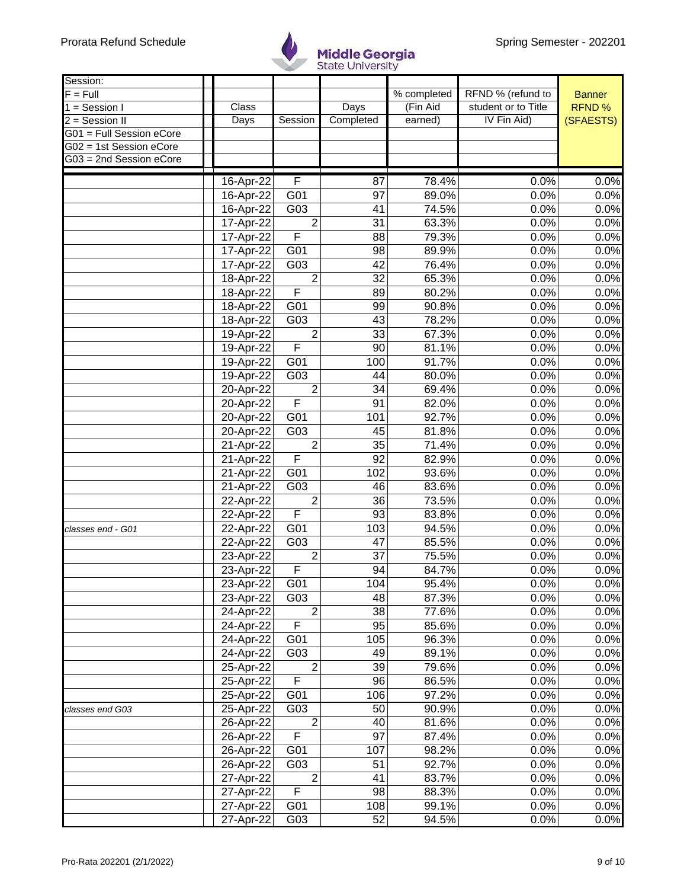

| Session:                 |                 |                  |                 |             |                     |               |
|--------------------------|-----------------|------------------|-----------------|-------------|---------------------|---------------|
| $F = Full$               |                 |                  |                 | % completed | RFND % (refund to   | <b>Banner</b> |
| $1 =$ Session I          | Class           |                  | Days            | (Fin Aid    | student or to Title | RFND %        |
| 2 = Session II           | Days            | Session          | Completed       | earned)     | IV Fin Aid)         | (SFAESTS)     |
| G01 = Full Session eCore |                 |                  |                 |             |                     |               |
| G02 = 1st Session eCore  |                 |                  |                 |             |                     |               |
| G03 = 2nd Session eCore  |                 |                  |                 |             |                     |               |
|                          |                 | F                |                 |             |                     |               |
|                          | 16-Apr-22       |                  | 87<br>97        | 78.4%       | 0.0%<br>0.0%        | 0.0%          |
|                          | 16-Apr-22       | G01              |                 | 89.0%       |                     | 0.0%          |
|                          | 16-Apr-22       | G03              | 41              | 74.5%       | 0.0%                | 0.0%          |
|                          | 17-Apr-22       | $\overline{2}$   | 31              | 63.3%       | 0.0%                | 0.0%          |
|                          | 17-Apr-22       | F                | 88              | 79.3%       | 0.0%                | 0.0%          |
|                          | 17-Apr-22       | G01              | 98              | 89.9%       | 0.0%                | 0.0%          |
|                          | 17-Apr-22       | G03              | 42              | 76.4%       | 0.0%                | 0.0%          |
|                          | 18-Apr-22       | $\overline{2}$   | 32              | 65.3%       | 0.0%                | 0.0%          |
|                          | 18-Apr-22       | F                | 89              | 80.2%       | 0.0%                | 0.0%          |
|                          | 18-Apr-22       | $\overline{G01}$ | 99              | 90.8%       | 0.0%                | 0.0%          |
|                          | 18-Apr-22       | $\overline{G03}$ | 43              | 78.2%       | 0.0%                | 0.0%          |
|                          | 19-Apr-22       | $\overline{2}$   | $\overline{33}$ | 67.3%       | 0.0%                | 0.0%          |
|                          | 19-Apr-22       | F                | 90              | 81.1%       | 0.0%                | 0.0%          |
|                          | 19-Apr-22       | G01              | 100             | 91.7%       | 0.0%                | 0.0%          |
|                          | 19-Apr-22       | G03              | 44              | 80.0%       | 0.0%                | 0.0%          |
|                          | 20-Apr-22       | $\overline{2}$   | 34              | 69.4%       | 0.0%                | 0.0%          |
|                          | $20 - Apr - 22$ | F                | 91              | 82.0%       | 0.0%                | 0.0%          |
|                          | 20-Apr-22       | G01              | 101             | 92.7%       | 0.0%                | 0.0%          |
|                          | 20-Apr-22       | G03              | 45              | 81.8%       | 0.0%                | 0.0%          |
|                          | 21-Apr-22       | $\overline{2}$   | 35              | 71.4%       | 0.0%                | 0.0%          |
|                          | 21-Apr-22       | F                | 92              | 82.9%       | 0.0%                | 0.0%          |
|                          | 21-Apr-22       | G01              | 102             | 93.6%       | 0.0%                | 0.0%          |
|                          | 21-Apr-22       | G03              | 46              | 83.6%       | 0.0%                | 0.0%          |
|                          | 22-Apr-22       | $\overline{2}$   | 36              | 73.5%       | 0.0%                | 0.0%          |
|                          | 22-Apr-22       | F                | 93              | 83.8%       | 0.0%                | 0.0%          |
| classes end - G01        | 22-Apr-22       | G01              | 103             | 94.5%       | 0.0%                | 0.0%          |
|                          | 22-Apr-22       | $\overline{G03}$ | 47              | 85.5%       | 0.0%                | 0.0%          |
|                          | 23-Apr-22       | $\overline{2}$   | 37              | 75.5%       | 0.0%                | 0.0%          |
|                          | 23-Apr-22       | F                | 94              | 84.7%       | 0.0%                | 0.0%          |
|                          | 23-Apr-22       | G01              | 104             | 95.4%       | 0.0%                | 0.0%          |
|                          | 23-Apr-22       | G03              | 48              | 87.3%       | 0.0%                | 0.0%          |
|                          | 24-Apr-22       | $\overline{2}$   | 38              | 77.6%       | 0.0%                | 0.0%          |
|                          | 24-Apr-22       | F                | 95              | 85.6%       | 0.0%                | 0.0%          |
|                          | 24-Apr-22       | G01              | 105             | 96.3%       | 0.0%                | 0.0%          |
|                          |                 |                  |                 |             |                     |               |
|                          | 24-Apr-22       | G03              | 49              | 89.1%       | 0.0%                | 0.0%          |
|                          | 25-Apr-22       | $\overline{2}$   | 39              | 79.6%       | 0.0%                | 0.0%          |
|                          | 25-Apr-22       | F                | 96              | 86.5%       | 0.0%                | 0.0%          |
|                          | 25-Apr-22       | G01              | 106             | 97.2%       | 0.0%                | 0.0%          |
| classes end G03          | 25-Apr-22       | G03              | 50              | 90.9%       | 0.0%                | 0.0%          |
|                          | 26-Apr-22       | $\overline{2}$   | 40              | 81.6%       | 0.0%                | 0.0%          |
|                          | 26-Apr-22       | F                | 97              | 87.4%       | 0.0%                | 0.0%          |
|                          | 26-Apr-22       | G01              | 107             | 98.2%       | 0.0%                | 0.0%          |
|                          | 26-Apr-22       | G03              | 51              | 92.7%       | 0.0%                | 0.0%          |
|                          | 27-Apr-22       | $\overline{2}$   | 41              | 83.7%       | 0.0%                | 0.0%          |
|                          | 27-Apr-22       | F                | 98              | 88.3%       | 0.0%                | 0.0%          |
|                          | 27-Apr-22       | G01              | 108             | 99.1%       | 0.0%                | 0.0%          |
|                          | 27-Apr-22       | G03              | 52              | 94.5%       | 0.0%                | 0.0%          |